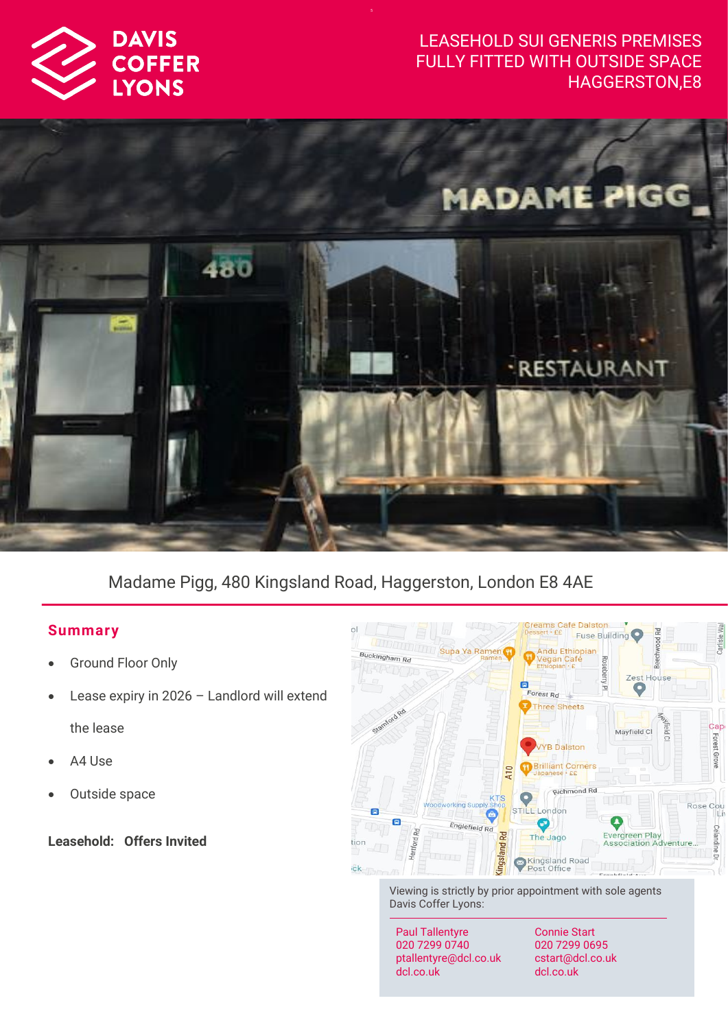

# LEASEHOLD SUI GENERIS PREMISES FULLY FITTED WITH OUTSIDE SPACE HAGGERSTON,E8



# Madame Pigg, 480 Kingsland Road, Haggerston, London E8 4AE

# **Summar y**

- **Ground Floor Only**
- Lease expiry in  $2026$  Landlord will extend the lease
- A4 Use
- Outside space

**Leasehold: Offers Invited** 



Viewing is strictly by prior appointment with sole agents Davis Coffer Lyons:

Paul Tallentyre 020 7299 0740 ptallentyre@dcl.co.uk dcl.co.uk

Connie Start 020 7299 0695 cstart@dcl.co.uk dcl.co.uk